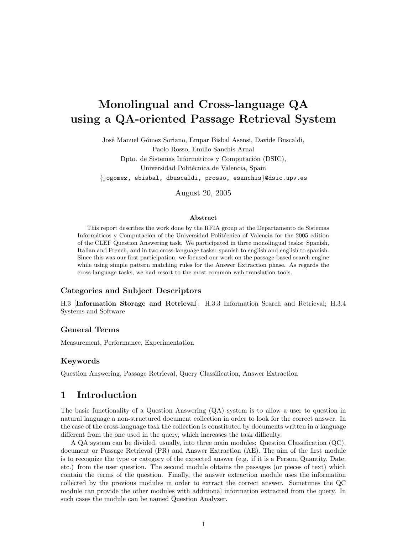# Monolingual and Cross-language QA using a QA-oriented Passage Retrieval System

José Manuel Gómez Soriano, Empar Bisbal Asensi, Davide Buscaldi, Paolo Rosso, Emilio Sanchis Arnal Dpto. de Sistemas Informáticos y Computación (DSIC), Universidad Politécnica de Valencia, Spain {jogomez, ebisbal, dbuscaldi, prosso, esanchis}@dsic.upv.es

August 20, 2005

#### Abstract

This report describes the work done by the RFIA group at the Departamento de Sistemas Informáticos y Computación of the Universidad Politécnica of Valencia for the 2005 edition of the CLEF Question Answering task. We participated in three monolingual tasks: Spanish, Italian and French, and in two cross-language tasks: spanish to english and english to spanish. Since this was our first participation, we focused our work on the passage-based search engine while using simple pattern matching rules for the Answer Extraction phase. As regards the cross-language tasks, we had resort to the most common web translation tools.

### Categories and Subject Descriptors

H.3 [Information Storage and Retrieval]: H.3.3 Information Search and Retrieval; H.3.4 Systems and Software

### General Terms

Measurement, Performance, Experimentation

### Keywords

Question Answering, Passage Retrieval, Query Classification, Answer Extraction

## 1 Introduction

The basic functionality of a Question Answering (QA) system is to allow a user to question in natural language a non-structured document collection in order to look for the correct answer. In the case of the cross-language task the collection is constituted by documents written in a language different from the one used in the query, which increases the task difficulty.

A QA system can be divided, usually, into three main modules: Question Classification (QC), document or Passage Retrieval (PR) and Answer Extraction (AE). The aim of the first module is to recognize the type or category of the expected answer (e.g. if it is a Person, Quantity, Date, etc.) from the user question. The second module obtains the passages (or pieces of text) which contain the terms of the question. Finally, the answer extraction module uses the information collected by the previous modules in order to extract the correct answer. Sometimes the QC module can provide the other modules with additional information extracted from the query. In such cases the module can be named Question Analyzer.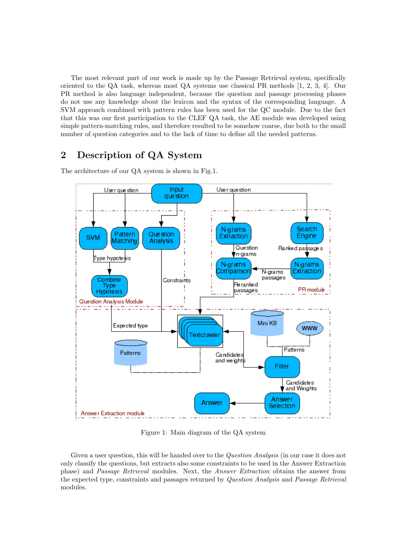The most relevant part of our work is made up by the Passage Retrieval system, specifically oriented to the QA task, whereas most QA systems use classical PR methods [1, 2, 3, 4]. Our PR method is also language independent, because the question and passage processing phases do not use any knowledge about the lexicon and the syntax of the corresponding language. A SVM approach combined with pattern rules has been used for the QC module. Due to the fact that this was our first participation to the CLEF QA task, the AE module was developed using simple pattern-matching rules, and therefore resulted to be somehow coarse, due both to the small number of question categories and to the lack of time to define all the needed patterns.

# 2 Description of QA System

The architecture of our QA system is shown in Fig.1.



Figure 1: Main diagram of the QA system

Given a user question, this will be handed over to the Question Analysis (in our case it does not only classify the questions, but extracts also some constraints to be used in the Answer Extraction phase) and Passage Retrieval modules. Next, the Answer Extraction obtains the answer from the expected type, constraints and passages returned by Question Analysis and Passage Retrieval modules.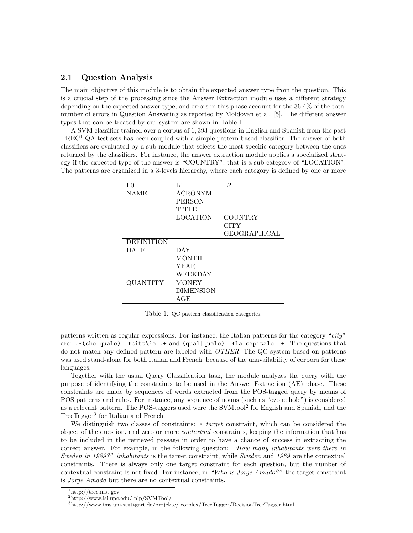### 2.1 Question Analysis

The main objective of this module is to obtain the expected answer type from the question. This is a crucial step of the processing since the Answer Extraction module uses a different strategy depending on the expected answer type, and errors in this phase account for the 36.4% of the total number of errors in Question Answering as reported by Moldovan et al. [5]. The different answer types that can be treated by our system are shown in Table 1.

A SVM classifier trained over a corpus of 1, 393 questions in English and Spanish from the past  $TREC<sup>1</sup> QA test sets has been coupled with a simple pattern-based classifier. The answer of both$ classifiers are evaluated by a sub-module that selects the most specific category between the ones returned by the classifiers. For instance, the answer extraction module applies a specialized strategy if the expected type of the answer is "COUNTRY", that is a sub-category of "LOCATION". The patterns are organized in a 3-levels hierarchy, where each category is defined by one or more

| L0                | L1               | L <sub>2</sub>      |
|-------------------|------------------|---------------------|
| <b>NAME</b>       | <b>ACRONYM</b>   |                     |
|                   | <b>PERSON</b>    |                     |
|                   | <b>TITLE</b>     |                     |
|                   | <b>LOCATION</b>  | <b>COUNTRY</b>      |
|                   |                  | <b>CITY</b>         |
|                   |                  | <b>GEOGRAPHICAL</b> |
| <b>DEFINITION</b> |                  |                     |
| <b>DATE</b>       | DAY              |                     |
|                   | <b>MONTH</b>     |                     |
|                   | <b>YEAR</b>      |                     |
|                   | <b>WEEKDAY</b>   |                     |
| <b>QUANTITY</b>   | <b>MONEY</b>     |                     |
|                   | <b>DIMENSION</b> |                     |
|                   | AGE              |                     |

Table 1: QC pattern classification categories.

patterns written as regular expressions. For instance, the Italian patterns for the category "city" are: .\*(che|quale) .\*citt\'a .+ and (qual|quale) .\*la capitale .+. The questions that do not match any defined pattern are labeled with  $OTHER$ . The QC system based on patterns was used stand-alone for both Italian and French, because of the unavailability of corpora for these languages.

Together with the usual Query Classification task, the module analyzes the query with the purpose of identifying the constraints to be used in the Answer Extraction (AE) phase. These constraints are made by sequences of words extracted from the POS-tagged query by means of POS patterns and rules. For instance, any sequence of nouns (such as "ozone hole") is considered as a relevant pattern. The POS-taggers used were the SVMtool<sup>2</sup> for English and Spanish, and the TreeTagger<sup>3</sup> for Italian and French.

We distinguish two classes of constraints: a *target* constraint, which can be considered the object of the question, and zero or more *contextual* constraints, keeping the information that has to be included in the retrieved passage in order to have a chance of success in extracting the correct answer. For example, in the following question: "How many inhabitants were there in Sweden in 1989?" inhabitants is the target constraint, while Sweden and 1989 are the contextual constraints. There is always only one target constraint for each question, but the number of contextual constraint is not fixed. For instance, in "Who is Jorge Amado?" the target constraint is Jorge Amado but there are no contextual constraints.

<sup>1</sup>http://trec.nist.gov

<sup>2</sup>http://www.lsi.upc.edu/ nlp/SVMTool/

<sup>3</sup>http://www.ims.uni-stuttgart.de/projekte/ corplex/TreeTagger/DecisionTreeTagger.html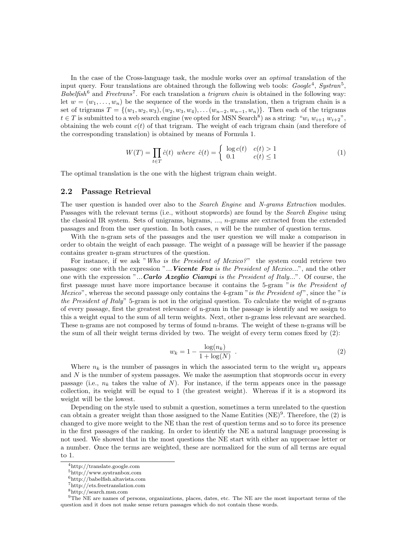In the case of the Cross-language task, the module works over an optimal translation of the input query. Four translations are obtained through the following web tools:  $Google<sup>4</sup>$ ,  $System<sup>5</sup>$ , Babelfish<sup>6</sup> and Freetrans<sup>7</sup>. For each translation a trigram chain is obtained in the following way: let  $w = (w_1, \ldots, w_n)$  be the sequence of the words in the translation, then a trigram chain is a set of trigrams  $T = \{(w_1, w_2, w_3), (w_2, w_3, w_4), \ldots (w_{n-2}, w_{n-1}, w_n)\}.$  Then each of the trigrams  $t \in T$  is submitted to a web search engine (we opted for MSN Search<sup>8</sup>) as a string: " $w_i w_{i+1} w_{i+2}$ ", obtaining the web count  $c(t)$  of that trigram. The weight of each trigram chain (and therefore of the corresponding translation) is obtained by means of Formula 1.

$$
W(T) = \prod_{t \in T} \hat{c}(t) \text{ where } \hat{c}(t) = \begin{cases} \log c(t) & c(t) > 1\\ 0.1 & c(t) \le 1 \end{cases} \tag{1}
$$

The optimal translation is the one with the highest trigram chain weight.

### 2.2 Passage Retrieval

The user question is handed over also to the *Search Engine* and *N*-grams Extraction modules. Passages with the relevant terms (i.e., without stopwords) are found by the *Search Engine* using the classical IR system. Sets of unigrams, bigrams,  $\ldots$ , n-grams are extracted from the extended passages and from the user question. In both cases,  $n$  will be the number of question terms.

With the n-gram sets of the passages and the user question we will make a comparison in order to obtain the weight of each passage. The weight of a passage will be heavier if the passage contains greater n-gram structures of the question.

For instance, if we ask "Who is the President of Mexico?" the system could retrieve two passages: one with the expression "... Vicente Fox is the President of Mexico...", and the other one with the expression "...Carlo Azeglio Ciampi is the President of Italy...". Of course, the first passage must have more importance because it contains the 5-gram "is the President of *Mexico*", whereas the second passage only contains the 4-gram "is the President of", since the "is the President of Italy" 5-gram is not in the original question. To calculate the weight of n-grams of every passage, first the greatest relevance of n-gram in the passage is identify and we assign to this a weight equal to the sum of all term weights. Next, other n-grams less relevant are searched. These n-grams are not composed by terms of found n-brams. The weight of these n-grams will be the sum of all their weight terms divided by two. The weight of every term comes fixed by (2):

$$
w_k = 1 - \frac{\log(n_k)}{1 + \log(N)} \tag{2}
$$

Where  $n_k$  is the number of passages in which the associated term to the weight  $w_k$  appears and  $N$  is the number of system passages. We make the assumption that stopwords occur in every passage (i.e.,  $n_k$  takes the value of N). For instance, if the term appears once in the passage collection, its weight will be equal to 1 (the greatest weight). Whereas if it is a stopword its weight will be the lowest.

Depending on the style used to submit a question, sometimes a term unrelated to the question can obtain a greater weight than those assigned to the Name Entities  $(NE)^9$ . Therefore, the  $(2)$  is changed to give more weight to the NE than the rest of question terms and so to force its presence in the first passages of the ranking. In order to identify the NE a natural language processing is not used. We showed that in the most questions the NE start with either an uppercase letter or a number. Once the terms are weighted, these are normalized for the sum of all terms are equal to 1.

<sup>4</sup>http://translate.google.com

<sup>5</sup>http://www.systranbox.com

 $^6$ http://babelfish.altavista.com

<sup>7</sup>http://ets.freetranslation.com

<sup>8</sup>http://search.msn.com

<sup>9</sup>The NE are names of persons, organizations, places, dates, etc. The NE are the most important terms of the question and it does not make sense return passages which do not contain these words.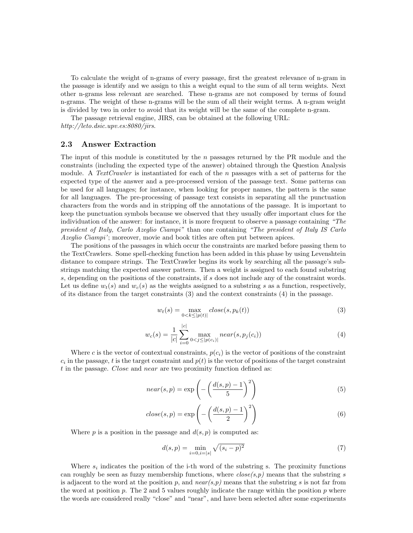To calculate the weight of n-grams of every passage, first the greatest relevance of n-gram in the passage is identify and we assign to this a weight equal to the sum of all term weights. Next other n-grams less relevant are searched. These n-grams are not composed by terms of found n-grams. The weight of these n-grams will be the sum of all their weight terms. A n-gram weight is divided by two in order to avoid that its weight will be the same of the complete n-gram.

The passage retrieval engine, JIRS, can be obtained at the following URL: http://leto.dsic.upv.es:8080/jirs.

### 2.3 Answer Extraction

The input of this module is constituted by the n passages returned by the PR module and the constraints (including the expected type of the answer) obtained through the Question Analysis module. A TextCrawler is instantiated for each of the n passages with a set of patterns for the expected type of the answer and a pre-processed version of the passage text. Some patterns can be used for all languages; for instance, when looking for proper names, the pattern is the same for all languages. The pre-processing of passage text consists in separating all the punctuation characters from the words and in stripping off the annotations of the passage. It is important to keep the punctuation symbols because we observed that they usually offer important clues for the individuation of the answer: for instance, it is more frequent to observe a passage containing "The president of Italy, Carlo Azeglio Ciampi" than one containing "The president of Italy IS Carlo Azeglio Ciampi'; moreover, movie and book titles are often put between apices.

The positions of the passages in which occur the constraints are marked before passing them to the TextCrawlers. Some spell-checking function has been added in this phase by using Levenshtein distance to compare strings. The TextCrawler begins its work by searching all the passage's substrings matching the expected answer pattern. Then a weight is assigned to each found substring s, depending on the positions of the constraints, if s does not include any of the constraint words. Let us define  $w_t(s)$  and  $w_c(s)$  as the weights assigned to a substring s as a function, respectively, of its distance from the target constraints (3) and the context constraints (4) in the passage.

$$
w_t(s) = \max_{0 < k \le |p(t)|} close(s, p_k(t)) \tag{3}
$$

$$
w_c(s) = \frac{1}{|c|} \sum_{i=0}^{|c|} \max_{0 < j \le |p(c_i)|} near(s, p_j(c_i)) \tag{4}
$$

Where c is the vector of contextual constraints,  $p(c_i)$  is the vector of positions of the constraint  $c_i$  in the passage, t is the target constraint and  $p(t)$  is the vector of positions of the target constraint t in the passage. Close and near are two proximity function defined as:

$$
near(s,p) = \exp\left(-\left(\frac{d(s,p)-1}{5}\right)^2\right) \tag{5}
$$

$$
close(s,p) = \exp\left(-\left(\frac{d(s,p)-1}{2}\right)^2\right)
$$
\n(6)

Where  $p$  is a position in the passage and  $d(s, p)$  is computed as:

$$
d(s,p) = \min_{i=0, i=|s|} \sqrt{(s_i - p)^2}
$$
 (7)

Where  $s_i$  indicates the position of the i-th word of the substring s. The proximity functions can roughly be seen as fuzzy membership functions, where  $close(s,p)$  means that the substring s is adjacent to the word at the position p, and  $near(s,p)$  means that the substring s is not far from the word at position p. The 2 and 5 values roughly indicate the range within the position p where the words are considered really "close" and "near", and have been selected after some experiments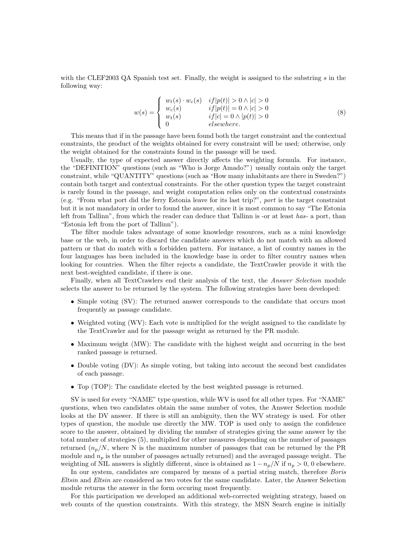with the CLEF2003 QA Spanish test set. Finally, the weight is assigned to the substring s in the following way:

$$
w(s) = \begin{cases} w_t(s) \cdot w_c(s) & \text{if } |p(t)| > 0 \land |c| > 0\\ w_c(s) & \text{if } |p(t)| = 0 \land |c| > 0\\ w_t(s) & \text{if } |c| = 0 \land |p(t)| > 0\\ 0 & \text{elsewhere.} \end{cases} \tag{8}
$$

This means that if in the passage have been found both the target constraint and the contextual constraints, the product of the weights obtained for every constraint will be used; otherwise, only the weight obtained for the constraints found in the passage will be used.

Usually, the type of expected answer directly affects the weighting formula. For instance, the "DEFINITION" questions (such as "Who is Jorge Amado?") usually contain only the target constraint, while "QUANTITY" questions (such as "How many inhabitants are there in Sweden?") contain both target and contextual constraints. For the other question types the target constraint is rarely found in the passage, and weight computation relies only on the contextual constraints (e.g. "From what port did the ferry Estonia leave for its last trip?", port is the target constraint but it is not mandatory in order to found the answer, since it is most common to say "The Estonia left from Tallinn", from which the reader can deduce that Tallinn is -or at least has- a port, than "Estonia left from the port of Tallinn").

The filter module takes advantage of some knowledge resources, such as a mini knowledge base or the web, in order to discard the candidate answers which do not match with an allowed pattern or that do match with a forbidden pattern. For instance, a list of country names in the four languages has been included in the knowledge base in order to filter country names when looking for countries. When the filter rejects a candidate, the TextCrawler provide it with the next best-weighted candidate, if there is one.

Finally, when all TextCrawlers end their analysis of the text, the *Answer Selection* module selects the answer to be returned by the system. The following strategies have been developed:

- Simple voting (SV): The returned answer corresponds to the candidate that occurs most frequently as passage candidate.
- Weighted voting (WV): Each vote is multiplied for the weight assigned to the candidate by the TextCrawler and for the passage weight as returned by the PR module.
- Maximum weight (MW): The candidate with the highest weight and occurring in the best ranked passage is returned.
- Double voting (DV): As simple voting, but taking into account the second best candidates of each passage.
- Top (TOP): The candidate elected by the best weighted passage is returned.

SV is used for every "NAME" type question, while WV is used for all other types. For "NAME" questions, when two candidates obtain the same number of votes, the Answer Selection module looks at the DV answer. If there is still an ambiguity, then the WV strategy is used. For other types of question, the module use directly the MW. TOP is used only to assign the confidence score to the answer, obtained by dividing the number of strategies giving the same answer by the total number of strategies (5), multiplied for other measures depending on the number of passages returned  $(n_p/N)$ , where N is the maximum number of passages that can be returned by the PR module and  $n_p$  is the number of passages actually returned) and the averaged passage weight. The weighting of NIL answers is slightly different, since is obtained as  $1-n_p/N$  if  $n_p > 0$ , 0 elsewhere.

In our system, candidates are compared by means of a partial string match, therefore *Boris* Eltsin and Eltsin are considered as two votes for the same candidate. Later, the Answer Selection module returns the answer in the form occuring most frequently.

For this participation we developed an additional web-corrected weighting strategy, based on web counts of the question constraints. With this strategy, the MSN Search engine is initially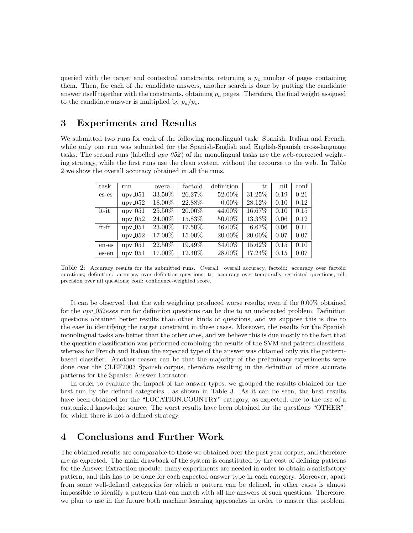queried with the target and contextual constraints, returning a  $p_c$  number of pages containing them. Then, for each of the candidate answers, another search is done by putting the candidate answer itself together with the constraints, obtaining  $p_a$  pages. Therefore, the final weight assigned to the candidate answer is multiplied by  $p_a/p_c$ .

# 3 Experiments and Results

We submitted two runs for each of the following monolingual task: Spanish, Italian and French, while only one run was submitted for the Spanish-English and English-Spanish cross-language tasks. The second runs (labelled  $upv_0.052$ ) of the monolingual tasks use the web-corrected weighting strategy, while the first runs use the clean system, without the recourse to the web. In Table 2 we show the overall accuracy obtained in all the runs.

| task    | run       | overall   | factoid | definition | tr       | nil  | conf |
|---------|-----------|-----------|---------|------------|----------|------|------|
| es-es   | $upv_051$ | 33.50%    | 26.27\% | 52.00%     | 31.25\%  | 0.19 | 0.21 |
|         | $upv_052$ | 18.00%    | 22.88%  | $0.00\%$   | 28.12\%  | 0.10 | 0.12 |
| it-it   | $upv_051$ | 25.50%    | 20.00%  | 44.00%     | 16.67%   | 0.10 | 0.15 |
|         | $upv_052$ | 24.00%    | 15.83%  | 50.00%     | 13.33%   | 0.06 | 0.12 |
| $fr-fr$ | $upv_051$ | 23.00%    | 17.50%  | 46.00%     | $6.67\%$ | 0.06 | 0.11 |
|         | $upv_052$ | 17.00%    | 15.00%  | 20.00%     | 20.00%   | 0.07 | 0.07 |
| en-es   | $upv_051$ | $22.50\%$ | 19.49%  | 34.00%     | 15.62%   | 0.15 | 0.10 |
| es-en   | $upv_051$ | 17.00%    | 12.40%  | 28.00%     | 17.24\%  | 0.15 | 0.07 |

Table 2: Accuracy results for the submitted runs. Overall: overall accuracy, factoid: accuracy over factoid questions; definition: accuracy over definition questions; tr: accuracy over temporally restricted questions; nil: precision over nil questions; conf: confidence-weighted score.

It can be observed that the web weighting produced worse results, even if the 0.00% obtained for the upv 052eses run for definition questions can be due to an undetected problem. Definition questions obtained better results than other kinds of questions, and we suppose this is due to the ease in identifying the target constraint in these cases. Moreover, the results for the Spanish monolingual tasks are better than the other ones, and we believe this is due mostly to the fact that the question classification was performed combining the results of the SVM and pattern classifiers, whereas for French and Italian the expected type of the answer was obtained only via the patternbased classifier. Another reason can be that the majority of the preliminary experiments were done over the CLEF2003 Spanish corpus, therefore resulting in the definition of more accurate patterns for the Spanish Answer Extractor.

In order to evaluate the impact of the answer types, we grouped the results obtained for the best run by the defined categories , as shown in Table 3. As it can be seen, the best results have been obtained for the "LOCATION.COUNTRY" category, as expected, due to the use of a customized knowledge source. The worst results have been obtained for the questions "OTHER", for which there is not a defined strategy.

# 4 Conclusions and Further Work

The obtained results are comparable to those we obtained over the past year corpus, and therefore are as expected. The main drawback of the system is constituted by the cost of defining patterns for the Answer Extraction module: many experiments are needed in order to obtain a satisfactory pattern, and this has to be done for each expected answer type in each category. Moreover, apart from some well-defined categories for which a pattern can be defined, in other cases is almost impossible to identify a pattern that can match with all the answers of such questions. Therefore, we plan to use in the future both machine learning approaches in order to master this problem,